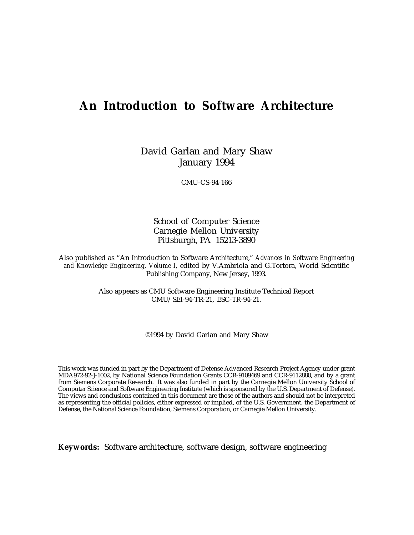# **An Introduction to Software Architecture**

David Garlan and Mary Shaw January 1994

CMU-CS-94-166

School of Computer Science Carnegie Mellon University Pittsburgh, PA 15213-3890

Also published as "An Introduction to Software Architecture," *Advances in Software Engineering and Knowledge Engineering, Volume I,* edited by V.Ambriola and G.Tortora, World Scientific Publishing Company, New Jersey, 1993.

> Also appears as CMU Software Engineering Institute Technical Report CMU/SEI-94-TR-21, ESC-TR-94-21.

> > ©1994 by David Garlan and Mary Shaw

This work was funded in part by the Department of Defense Advanced Research Project Agency under grant MDA972-92-J-1002, by National Science Foundation Grants CCR-9109469 and CCR-9112880, and by a grant from Siemens Corporate Research. It was also funded in part by the Carnegie Mellon University School of Computer Science and Software Engineering Institute (which is sponsored by the U.S. Department of Defense). The views and conclusions contained in this document are those of the authors and should not be interpreted as representing the official policies, either expressed or implied, of the U.S. Government, the Department of Defense, the National Science Foundation, Siemens Corporation, or Carnegie Mellon University.

**Keywords:** Software architecture, software design, software engineering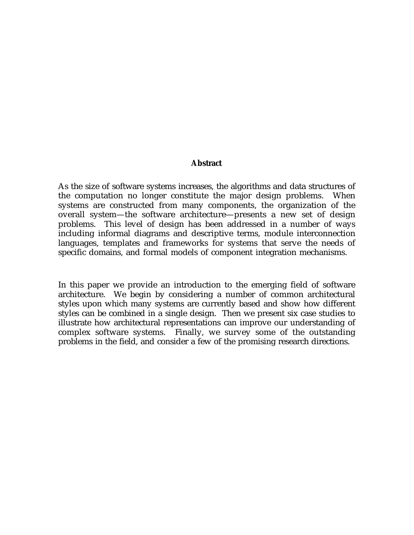#### **Abstract**

As the size of software systems increases, the algorithms and data structures of the computation no longer constitute the major design problems. When systems are constructed from many components, the organization of the overall system—the software architecture—presents a new set of design problems. This level of design has been addressed in a number of ways including informal diagrams and descriptive terms, module interconnection languages, templates and frameworks for systems that serve the needs of specific domains, and formal models of component integration mechanisms.

In this paper we provide an introduction to the emerging field of software architecture. We begin by considering a number of common architectural styles upon which many systems are currently based and show how different styles can be combined in a single design. Then we present six case studies to illustrate how architectural representations can improve our understanding of complex software systems. Finally, we survey some of the outstanding problems in the field, and consider a few of the promising research directions.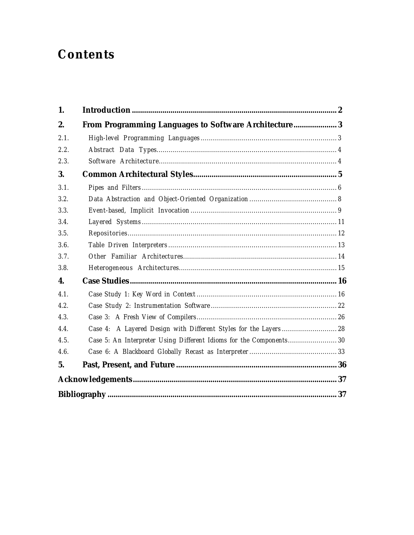# Contents

| 1.   |                                                                     |  |
|------|---------------------------------------------------------------------|--|
| 2.   | From Programming Languages to Software Architecture 3               |  |
| 2.1. |                                                                     |  |
| 2.2. |                                                                     |  |
| 2.3. |                                                                     |  |
| 3.   |                                                                     |  |
| 3.1. |                                                                     |  |
| 3.2. |                                                                     |  |
| 3.3. |                                                                     |  |
| 3.4. |                                                                     |  |
| 3.5. |                                                                     |  |
| 3.6. |                                                                     |  |
| 3.7. |                                                                     |  |
| 3.8. |                                                                     |  |
| 4.   |                                                                     |  |
| 4.1. |                                                                     |  |
| 4.2. |                                                                     |  |
| 4.3. |                                                                     |  |
| 4.4. | Case 4: A Layered Design with Different Styles for the Layers 28    |  |
| 4.5. | Case 5: An Interpreter Using Different Idioms for the Components 30 |  |
| 4.6. |                                                                     |  |
| 5.   |                                                                     |  |
|      |                                                                     |  |
|      |                                                                     |  |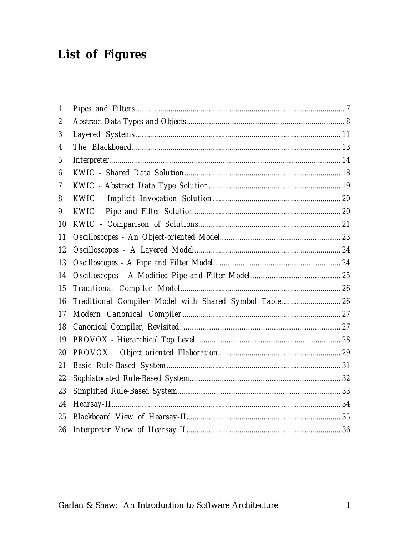# **List of Figures**

| 1  |                                                        |  |
|----|--------------------------------------------------------|--|
| 2  |                                                        |  |
| 3  |                                                        |  |
| 4  |                                                        |  |
| 5  |                                                        |  |
| 6  |                                                        |  |
| 7  |                                                        |  |
| 8  |                                                        |  |
| 9  |                                                        |  |
| 10 |                                                        |  |
| 11 |                                                        |  |
| 12 |                                                        |  |
| 13 |                                                        |  |
| 14 |                                                        |  |
| 15 |                                                        |  |
| 16 | Traditional Compiler Model with Shared Symbol Table 26 |  |
| 17 |                                                        |  |
| 18 |                                                        |  |
| 19 |                                                        |  |
| 20 |                                                        |  |
| 21 |                                                        |  |
| 22 |                                                        |  |
| 23 |                                                        |  |
| 24 |                                                        |  |
| 25 |                                                        |  |
| 26 |                                                        |  |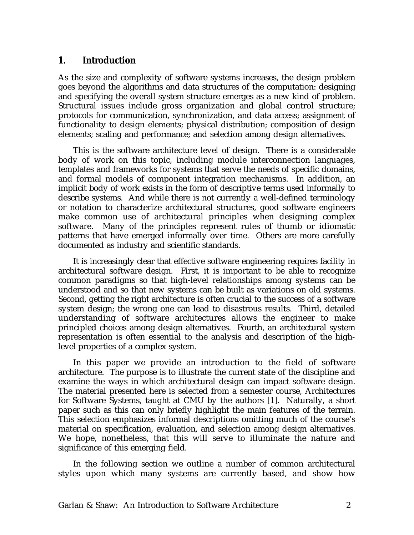#### **1. Introduction**

As the size and complexity of software systems increases, the design problem goes beyond the algorithms and data structures of the computation: designing and specifying the overall system structure emerges as a new kind of problem. Structural issues include gross organization and global control structure; protocols for communication, synchronization, and data access; assignment of functionality to design elements; physical distribution; composition of design elements; scaling and performance; and selection among design alternatives.

This is the software architecture level of design. There is a considerable body of work on this topic, including module interconnection languages, templates and frameworks for systems that serve the needs of specific domains, and formal models of component integration mechanisms. In addition, an implicit body of work exists in the form of descriptive terms used informally to describe systems. And while there is not currently a well-defined terminology or notation to characterize architectural structures, good software engineers make common use of architectural principles when designing complex software. Many of the principles represent rules of thumb or idiomatic patterns that have emerged informally over time. Others are more carefully documented as industry and scientific standards.

It is increasingly clear that effective software engineering requires facility in architectural software design. First, it is important to be able to recognize common paradigms so that high-level relationships among systems can be understood and so that new systems can be built as variations on old systems. Second, getting the right architecture is often crucial to the success of a software system design; the wrong one can lead to disastrous results. Third, detailed understanding of software architectures allows the engineer to make principled choices among design alternatives. Fourth, an architectural system representation is often essential to the analysis and description of the highlevel properties of a complex system.

In this paper we provide an introduction to the field of software architecture. The purpose is to illustrate the current state of the discipline and examine the ways in which architectural design can impact software design. The material presented here is selected from a semester course, Architectures for Software Systems, taught at CMU by the authors [1]. Naturally, a short paper such as this can only briefly highlight the main features of the terrain. This selection emphasizes informal descriptions omitting much of the course's material on specification, evaluation, and selection among design alternatives. We hope, nonetheless, that this will serve to illuminate the nature and significance of this emerging field.

In the following section we outline a number of common architectural styles upon which many systems are currently based, and show how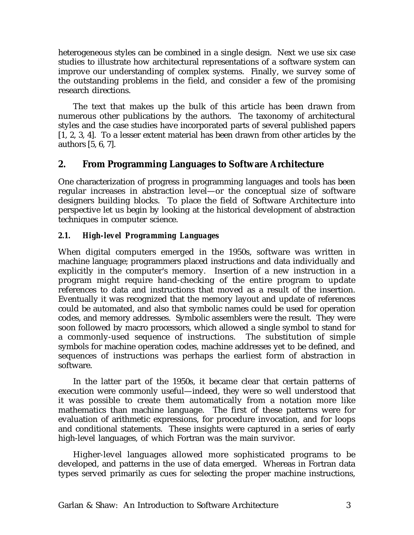heterogeneous styles can be combined in a single design. Next we use six case studies to illustrate how architectural representations of a software system can improve our understanding of complex systems. Finally, we survey some of the outstanding problems in the field, and consider a few of the promising research directions.

The text that makes up the bulk of this article has been drawn from numerous other publications by the authors. The taxonomy of architectural styles and the case studies have incorporated parts of several published papers [1, 2, 3, 4]. To a lesser extent material has been drawn from other articles by the authors [5, 6, 7].

# **2. From Programming Languages to Software Architecture**

One characterization of progress in programming languages and tools has been regular increases in abstraction level—or the conceptual size of software designers building blocks. To place the field of Software Architecture into perspective let us begin by looking at the historical development of abstraction techniques in computer science.

# *2.1. High-level Programming Languages*

When digital computers emerged in the 1950s, software was written in machine language; programmers placed instructions and data individually and explicitly in the computer's memory. Insertion of a new instruction in a program might require hand-checking of the entire program to update references to data and instructions that moved as a result of the insertion. Eventually it was recognized that the memory layout and update of references could be automated, and also that symbolic names could be used for operation codes, and memory addresses. Symbolic assemblers were the result. They were soon followed by macro processors, which allowed a single symbol to stand for a commonly-used sequence of instructions. The substitution of simple symbols for machine operation codes, machine addresses yet to be defined, and sequences of instructions was perhaps the earliest form of abstraction in software.

In the latter part of the 1950s, it became clear that certain patterns of execution were commonly useful—indeed, they were so well understood that it was possible to create them automatically from a notation more like mathematics than machine language. The first of these patterns were for evaluation of arithmetic expressions, for procedure invocation, and for loops and conditional statements. These insights were captured in a series of early high-level languages, of which Fortran was the main survivor.

Higher-level languages allowed more sophisticated programs to be developed, and patterns in the use of data emerged. Whereas in Fortran data types served primarily as cues for selecting the proper machine instructions,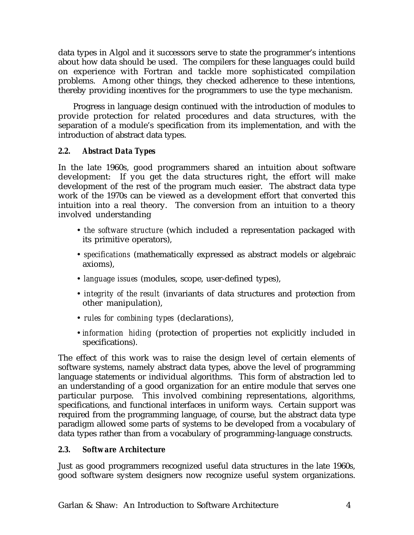data types in Algol and it successors serve to state the programmer's intentions about how data should be used. The compilers for these languages could build on experience with Fortran and tackle more sophisticated compilation problems. Among other things, they checked adherence to these intentions, thereby providing incentives for the programmers to use the type mechanism.

Progress in language design continued with the introduction of modules to provide protection for related procedures and data structures, with the separation of a module's specification from its implementation, and with the introduction of abstract data types.

# *2.2. Abstract Data Types*

In the late 1960s, good programmers shared an intuition about software development: If you get the data structures right, the effort will make development of the rest of the program much easier. The abstract data type work of the 1970s can be viewed as a development effort that converted this intuition into a real theory. The conversion from an intuition to a theory involved understanding

- *the software structure* (which included a representation packaged with its primitive operators),
- *specifications* (mathematically expressed as abstract models or algebraic axioms),
- *language issues* (modules, scope, user-defined types),
- *integrity of the result* (invariants of data structures and protection from other manipulation),
- *rules for combining types* (declarations),
- *information hiding* (protection of properties not explicitly included in specifications).

The effect of this work was to raise the design level of certain elements of software systems, namely abstract data types, above the level of programming language statements or individual algorithms. This form of abstraction led to an understanding of a good organization for an entire module that serves one particular purpose. This involved combining representations, algorithms, specifications, and functional interfaces in uniform ways. Certain support was required from the programming language, of course, but the abstract data type paradigm allowed some parts of systems to be developed from a vocabulary of data types rather than from a vocabulary of programming-language constructs.

# *2.3. Software Architecture*

Just as good programmers recognized useful data structures in the late 1960s, good software system designers now recognize useful system organizations.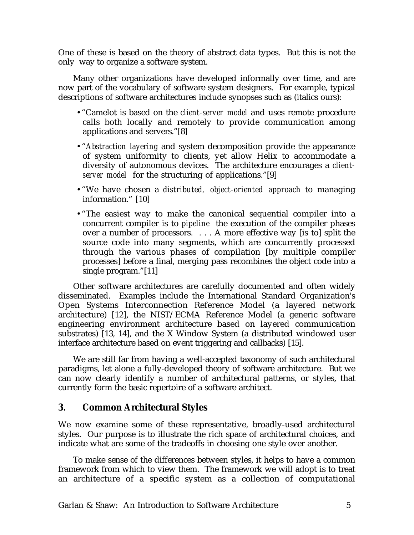One of these is based on the theory of abstract data types. But this is not the only way to organize a software system.

Many other organizations have developed informally over time, and are now part of the vocabulary of software system designers. For example, typical descriptions of software architectures include synopses such as (italics ours):

- •"Camelot is based on the *client-server model* and uses remote procedure calls both locally and remotely to provide communication among applications and servers."[8]
- •"*Abstraction layering* and system decomposition provide the appearance of system uniformity to clients, yet allow Helix to accommodate a diversity of autonomous devices. The architecture encourages a *clientserver model* for the structuring of applications."[9]
- •"We have chosen a *distributed, object-oriented approach* to managing information." [10]
- •"The easiest way to make the canonical sequential compiler into a concurrent compiler is to *pipeline* the execution of the compiler phases over a number of processors. . . . A more effective way [is to] split the source code into many segments, which are concurrently processed through the various phases of compilation [by multiple compiler processes] before a final, merging pass recombines the object code into a single program."[11]

Other software architectures are carefully documented and often widely disseminated. Examples include the International Standard Organization's Open Systems Interconnection Reference Model (a layered network architecture) [12], the NIST/ECMA Reference Model (a generic software engineering environment architecture based on layered communication substrates) [13, 14], and the X Window System (a distributed windowed user interface architecture based on event triggering and callbacks) [15].

We are still far from having a well-accepted taxonomy of such architectural paradigms, let alone a fully-developed theory of software architecture. But we can now clearly identify a number of architectural patterns, or styles, that currently form the basic repertoire of a software architect.

# **3. Common Architectural Styles**

We now examine some of these representative, broadly-used architectural styles. Our purpose is to illustrate the rich space of architectural choices, and indicate what are some of the tradeoffs in choosing one style over another.

To make sense of the differences between styles, it helps to have a common framework from which to view them. The framework we will adopt is to treat an architecture of a specific system as a collection of computational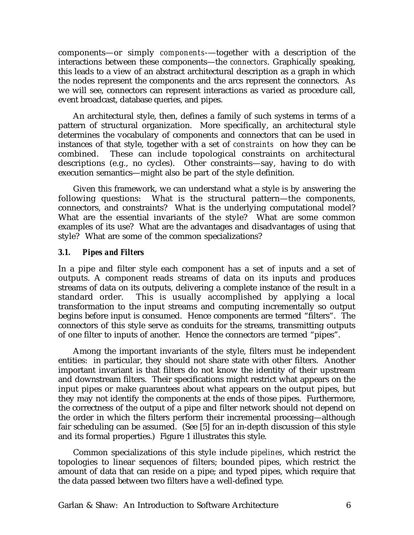components—or simply *components*-—together with a description of the interactions between these components—the *connectors*. Graphically speaking, this leads to a view of an abstract architectural description as a graph in which the nodes represent the components and the arcs represent the connectors. As we will see, connectors can represent interactions as varied as procedure call, event broadcast, database queries, and pipes.

An architectural style, then, defines a family of such systems in terms of a pattern of structural organization. More specifically, an architectural style determines the vocabulary of components and connectors that can be used in instances of that style, together with a set of *constraints* on how they can be combined. These can include topological constraints on architectural descriptions (e.g., no cycles). Other constraints—say, having to do with execution semantics—might also be part of the style definition.

Given this framework, we can understand what a style is by answering the following questions: What is the structural pattern—the components, connectors, and constraints? What is the underlying computational model? What are the essential invariants of the style? What are some common examples of its use? What are the advantages and disadvantages of using that style? What are some of the common specializations?

#### *3.1. Pipes and Filters*

In a pipe and filter style each component has a set of inputs and a set of outputs. A component reads streams of data on its inputs and produces streams of data on its outputs, delivering a complete instance of the result in a standard order. This is usually accomplished by applying a local transformation to the input streams and computing incrementally so output begins before input is consumed. Hence components are termed "filters". The connectors of this style serve as conduits for the streams, transmitting outputs of one filter to inputs of another. Hence the connectors are termed "pipes".

Among the important invariants of the style, filters must be independent entities: in particular, they should not share state with other filters. Another important invariant is that filters do not know the identity of their upstream and downstream filters. Their specifications might restrict what appears on the input pipes or make guarantees about what appears on the output pipes, but they may not identify the components at the ends of those pipes. Furthermore, the correctness of the output of a pipe and filter network should not depend on the order in which the filters perform their incremental processing—although fair scheduling can be assumed. (See [5] for an in-depth discussion of this style and its formal properties.) Figure 1 illustrates this style.

Common specializations of this style include *pipelines*, which restrict the topologies to linear sequences of filters; bounded pipes, which restrict the amount of data that can reside on a pipe; and typed pipes, which require that the data passed between two filters have a well-defined type.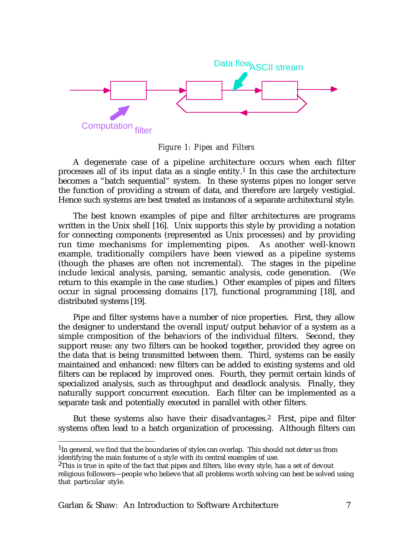

*Figure 1: Pipes and Filters*

A degenerate case of a pipeline architecture occurs when each filter processes all of its input data as a single entity.<sup>1</sup> In this case the architecture becomes a "batch sequential" system. In these systems pipes no longer serve the function of providing a stream of data, and therefore are largely vestigial. Hence such systems are best treated as instances of a separate architectural style.

The best known examples of pipe and filter architectures are programs written in the Unix shell [16]. Unix supports this style by providing a notation for connecting components (represented as Unix processes) and by providing run time mechanisms for implementing pipes. As another well-known example, traditionally compilers have been viewed as a pipeline systems (though the phases are often not incremental). The stages in the pipeline include lexical analysis, parsing, semantic analysis, code generation. (We return to this example in the case studies.) Other examples of pipes and filters occur in signal processing domains [17], functional programming [18], and distributed systems [19].

Pipe and filter systems have a number of nice properties. First, they allow the designer to understand the overall input/output behavior of a system as a simple composition of the behaviors of the individual filters. Second, they support reuse: any two filters can be hooked together, provided they agree on the data that is being transmitted between them. Third, systems can be easily maintained and enhanced: new filters can be added to existing systems and old filters can be replaced by improved ones. Fourth, they permit certain kinds of specialized analysis, such as throughput and deadlock analysis. Finally, they naturally support concurrent execution. Each filter can be implemented as a separate task and potentially executed in parallel with other filters.

But these systems also have their disadvantages.<sup>2</sup> First, pipe and filter systems often lead to a batch organization of processing. Although filters can

<sup>&</sup>lt;sup>1</sup>In general, we find that the boundaries of styles can overlap. This should not deter us from identifying the main features of a style with its central examples of use.

<sup>&</sup>lt;sup>2</sup>This is true in spite of the fact that pipes and filters, like every style, has a set of devout religious followers—people who believe that all problems worth solving can best be solved using that particular style.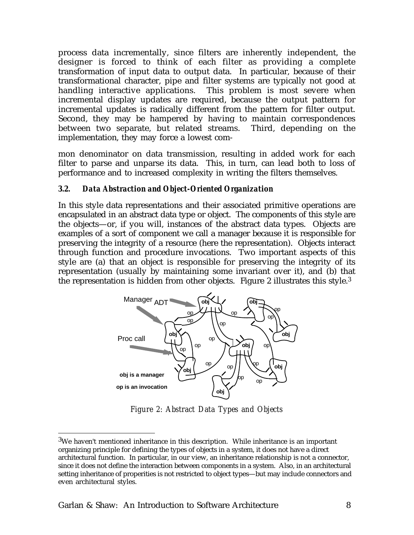process data incrementally, since filters are inherently independent, the designer is forced to think of each filter as providing a complete transformation of input data to output data. In particular, because of their transformational character, pipe and filter systems are typically not good at handling interactive applications. This problem is most severe when incremental display updates are required, because the output pattern for incremental updates is radically different from the pattern for filter output. Second, they may be hampered by having to maintain correspondences between two separate, but related streams. Third, depending on the implementation, they may force a lowest com-

mon denominator on data transmission, resulting in added work for each filter to parse and unparse its data. This, in turn, can lead both to loss of performance and to increased complexity in writing the filters themselves.

#### *3.2. Data Abstraction and Object-Oriented Organization*

In this style data representations and their associated primitive operations are encapsulated in an abstract data type or object. The components of this style are the objects—or, if you will, instances of the abstract data types. Objects are examples of a sort of component we call a manager because it is responsible for preserving the integrity of a resource (here the representation). Objects interact through function and procedure invocations. Two important aspects of this style are (a) that an object is responsible for preserving the integrity of its representation (usually by maintaining some invariant over it), and (b) that the representation is hidden from other objects. Figure 2 illustrates this style.3



*Figure 2: Abstract Data Types and Objects*

<sup>3</sup>We haven't mentioned inheritance in this description. While inheritance is an important organizing principle for defining the types of objects in a system, it does not have a direct architectural function. In particular, in our view, an inheritance relationship is not a connector, since it does not define the interaction between components in a system. Also, in an architectural setting inheritance of properities is not restricted to object types—but may include connectors and even architectural styles.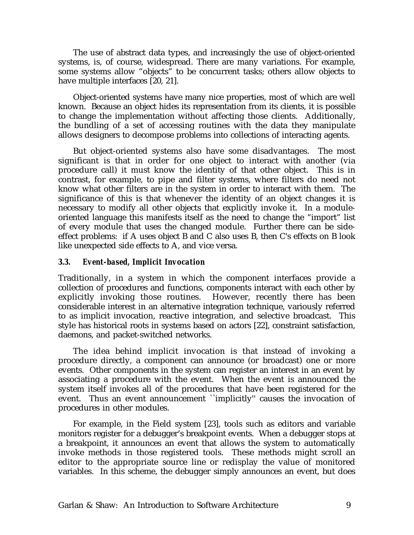The use of abstract data types, and increasingly the use of object-oriented systems, is, of course, widespread. There are many variations. For example, some systems allow "objects" to be concurrent tasks; others allow objects to have multiple interfaces [20, 21].

Object-oriented systems have many nice properties, most of which are well known. Because an object hides its representation from its clients, it is possible to change the implementation without affecting those clients. Additionally, the bundling of a set of accessing routines with the data they manipulate allows designers to decompose problems into collections of interacting agents.

But object-oriented systems also have some disadvantages. The most significant is that in order for one object to interact with another (via procedure call) it must know the identity of that other object. This is in contrast, for example, to pipe and filter systems, where filters do need not know what other filters are in the system in order to interact with them. The significance of this is that whenever the identity of an object changes it is necessary to modify all other objects that explicitly invoke it. In a moduleoriented language this manifests itself as the need to change the "import" list of every module that uses the changed module. Further there can be sideeffect problems: if A uses object B and C also uses B, then C's effects on B look like unexpected side effects to A, and vice versa.

#### *3.3. Event-based, Implicit Invocation*

Traditionally, in a system in which the component interfaces provide a collection of procedures and functions, components interact with each other by explicitly invoking those routines. However, recently there has been considerable interest in an alternative integration technique, variously referred to as implicit invocation, reactive integration, and selective broadcast. This style has historical roots in systems based on actors [22], constraint satisfaction, daemons, and packet-switched networks.

The idea behind implicit invocation is that instead of invoking a procedure directly, a component can announce (or broadcast) one or more events. Other components in the system can register an interest in an event by associating a procedure with the event. When the event is announced the system itself invokes all of the procedures that have been registered for the event. Thus an event announcement "implicitly" causes the invocation of procedures in other modules.

For example, in the Field system [23], tools such as editors and variable monitors register for a debugger's breakpoint events. When a debugger stops at a breakpoint, it announces an event that allows the system to automatically invoke methods in those registered tools. These methods might scroll an editor to the appropriate source line or redisplay the value of monitored variables. In this scheme, the debugger simply announces an event, but does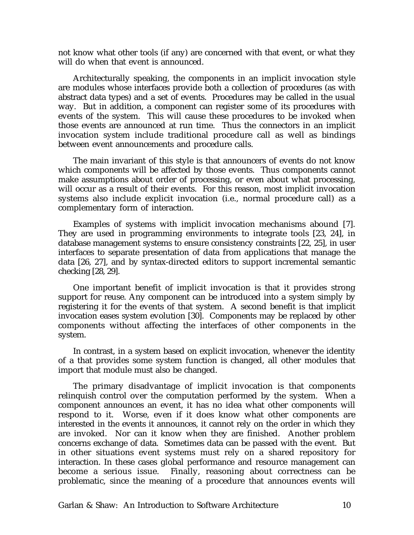not know what other tools (if any) are concerned with that event, or what they will do when that event is announced.

Architecturally speaking, the components in an implicit invocation style are modules whose interfaces provide both a collection of procedures (as with abstract data types) and a set of events. Procedures may be called in the usual way. But in addition, a component can register some of its procedures with events of the system. This will cause these procedures to be invoked when those events are announced at run time. Thus the connectors in an implicit invocation system include traditional procedure call as well as bindings between event announcements and procedure calls.

The main invariant of this style is that announcers of events do not know which components will be affected by those events. Thus components cannot make assumptions about order of processing, or even about what processing, will occur as a result of their events. For this reason, most implicit invocation systems also include explicit invocation (i.e., normal procedure call) as a complementary form of interaction.

Examples of systems with implicit invocation mechanisms abound [7]. They are used in programming environments to integrate tools [23, 24], in database management systems to ensure consistency constraints [22, 25], in user interfaces to separate presentation of data from applications that manage the data [26, 27], and by syntax-directed editors to support incremental semantic checking [28, 29].

One important benefit of implicit invocation is that it provides strong support for reuse. Any component can be introduced into a system simply by registering it for the events of that system. A second benefit is that implicit invocation eases system evolution [30]. Components may be replaced by other components without affecting the interfaces of other components in the system.

In contrast, in a system based on explicit invocation, whenever the identity of a that provides some system function is changed, all other modules that import that module must also be changed.

The primary disadvantage of implicit invocation is that components relinquish control over the computation performed by the system. When a component announces an event, it has no idea what other components will respond to it. Worse, even if it does know what other components are interested in the events it announces, it cannot rely on the order in which they are invoked. Nor can it know when they are finished. Another problem concerns exchange of data. Sometimes data can be passed with the event. But in other situations event systems must rely on a shared repository for interaction. In these cases global performance and resource management can become a serious issue. Finally, reasoning about correctness can be problematic, since the meaning of a procedure that announces events will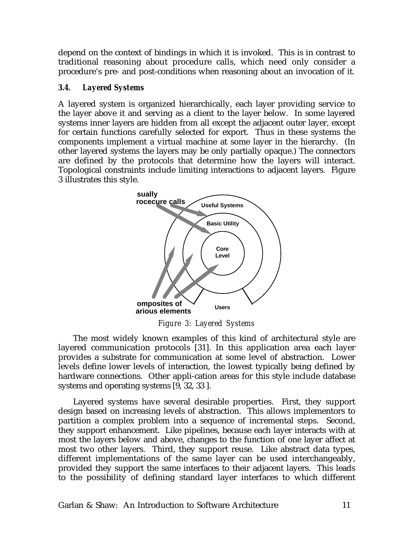depend on the context of bindings in which it is invoked. This is in contrast to traditional reasoning about procedure calls, which need only consider a procedure's pre- and post-conditions when reasoning about an invocation of it.

#### *3.4. Layered Systems*

A layered system is organized hierarchically, each layer providing service to the layer above it and serving as a client to the layer below. In some layered systems inner layers are hidden from all except the adjacent outer layer, except for certain functions carefully selected for export. Thus in these systems the components implement a virtual machine at some layer in the hierarchy. (In other layered systems the layers may be only partially opaque.) The connectors are defined by the protocols that determine how the layers will interact. Topological constraints include limiting interactions to adjacent layers. Figure 3 illustrates this style.



*Figure 3: Layered Systems*

The most widely known examples of this kind of architectural style are layered communication protocols [31]. In this application area each layer provides a substrate for communication at some level of abstraction. Lower levels define lower levels of interaction, the lowest typically being defined by hardware connections. Other appli-cation areas for this style include database systems and operating systems [9, 32, 33 ].

Layered systems have several desirable properties. First, they support design based on increasing levels of abstraction. This allows implementors to partition a complex problem into a sequence of incremental steps. Second, they support enhancement. Like pipelines, because each layer interacts with at most the layers below and above, changes to the function of one layer affect at most two other layers. Third, they support reuse. Like abstract data types, different implementations of the same layer can be used interchangeably, provided they support the same interfaces to their adjacent layers. This leads to the possibility of defining standard layer interfaces to which different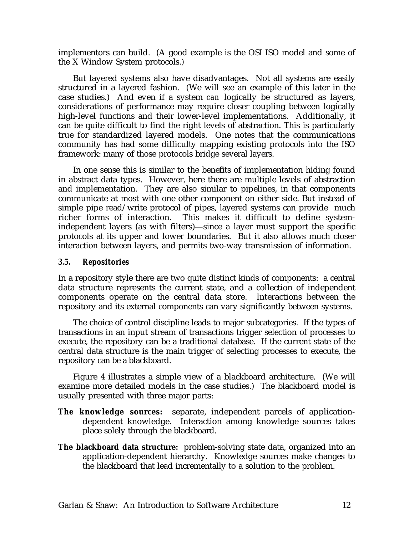implementors can build. (A good example is the OSI ISO model and some of the X Window System protocols.)

But layered systems also have disadvantages. Not all systems are easily structured in a layered fashion. (We will see an example of this later in the case studies.) And even if a system *can* logically be structured as layers, considerations of performance may require closer coupling between logically high-level functions and their lower-level implementations. Additionally, it can be quite difficult to find the right levels of abstraction. This is particularly true for standardized layered models. One notes that the communications community has had some difficulty mapping existing protocols into the ISO framework: many of those protocols bridge several layers.

In one sense this is similar to the benefits of implementation hiding found in abstract data types. However, here there are multiple levels of abstraction and implementation. They are also similar to pipelines, in that components communicate at most with one other component on either side. But instead of simple pipe read/write protocol of pipes, layered systems can provide much richer forms of interaction. This makes it difficult to define systemindependent layers (as with filters)—since a layer must support the specific protocols at its upper and lower boundaries. But it also allows much closer interaction between layers, and permits two-way transmission of information.

#### *3.5. Repositories*

In a repository style there are two quite distinct kinds of components: a central data structure represents the current state, and a collection of independent components operate on the central data store. Interactions between the repository and its external components can vary significantly between systems.

The choice of control discipline leads to major subcategories. If the types of transactions in an input stream of transactions trigger selection of processes to execute, the repository can be a traditional database. If the current state of the central data structure is the main trigger of selecting processes to execute, the repository can be a blackboard.

Figure 4 illustrates a simple view of a blackboard architecture. (We will examine more detailed models in the case studies.) The blackboard model is usually presented with three major parts:

- **The knowledge sources:** separate, independent parcels of applicationdependent knowledge. Interaction among knowledge sources takes place solely through the blackboard.
- **The blackboard data structure:** problem-solving state data, organized into an application-dependent hierarchy. Knowledge sources make changes to the blackboard that lead incrementally to a solution to the problem.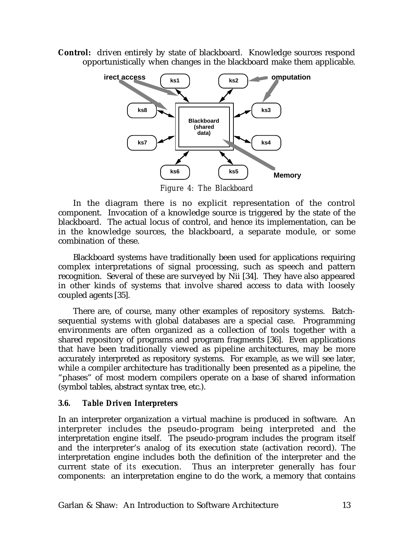**Control:** driven entirely by state of blackboard. Knowledge sources respond opportunistically when changes in the blackboard make them applicable.



*Figure 4: The Blackboard*

In the diagram there is no explicit representation of the control component. Invocation of a knowledge source is triggered by the state of the blackboard. The actual locus of control, and hence its implementation, can be in the knowledge sources, the blackboard, a separate module, or some combination of these.

Blackboard systems have traditionally been used for applications requiring complex interpretations of signal processing, such as speech and pattern recognition. Several of these are surveyed by Nii [34]. They have also appeared in other kinds of systems that involve shared access to data with loosely coupled agents [35].

There are, of course, many other examples of repository systems. Batchsequential systems with global databases are a special case. Programming environments are often organized as a collection of tools together with a shared repository of programs and program fragments [36]. Even applications that have been traditionally viewed as pipeline architectures, may be more accurately interpreted as repository systems. For example, as we will see later, while a compiler architecture has traditionally been presented as a pipeline, the "phases" of most modern compilers operate on a base of shared information (symbol tables, abstract syntax tree, etc.).

#### *3.6. Table Driven Interpreters*

In an interpreter organization a virtual machine is produced in software. An interpreter includes the pseudo-program being interpreted and the interpretation engine itself. The pseudo-program includes the program itself and the interpreter's analog of its execution state (activation record). The interpretation engine includes both the definition of the interpreter and the current state of *its* execution. Thus an interpreter generally has four components: an interpretation engine to do the work, a memory that contains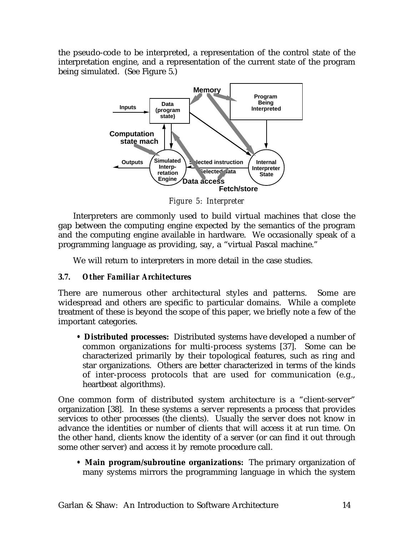the pseudo-code to be interpreted, a representation of the control state of the interpretation engine, and a representation of the current state of the program being simulated. (See Figure 5.)



*Figure 5: Interpreter*

Interpreters are commonly used to build virtual machines that close the gap between the computing engine expected by the semantics of the program and the computing engine available in hardware. We occasionally speak of a programming language as providing, say, a "virtual Pascal machine."

We will return to interpreters in more detail in the case studies.

# *3.7. Other Familiar Architectures*

There are numerous other architectural styles and patterns. Some are widespread and others are specific to particular domains. While a complete treatment of these is beyond the scope of this paper, we briefly note a few of the important categories.

**• Distributed processes:** Distributed systems have developed a number of common organizations for multi-process systems [37]. Some can be characterized primarily by their topological features, such as ring and star organizations. Others are better characterized in terms of the kinds of inter-process protocols that are used for communication (e.g., heartbeat algorithms).

One common form of distributed system architecture is a "client-server" organization [38]. In these systems a server represents a process that provides services to other processes (the clients). Usually the server does not know in advance the identities or number of clients that will access it at run time. On the other hand, clients know the identity of a server (or can find it out through some other server) and access it by remote procedure call.

**• Main program/subroutine organizations:** The primary organization of many systems mirrors the programming language in which the system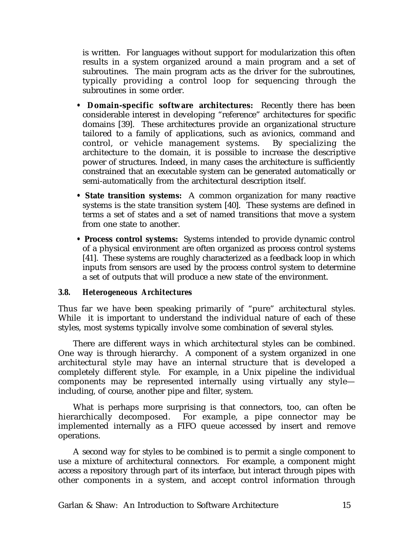is written. For languages without support for modularization this often results in a system organized around a main program and a set of subroutines. The main program acts as the driver for the subroutines, typically providing a control loop for sequencing through the subroutines in some order.

- **Domain-specific software architectures:** Recently there has been considerable interest in developing "reference" architectures for specific domains [39]. These architectures provide an organizational structure tailored to a family of applications, such as avionics, command and control, or vehicle management systems. By specializing the architecture to the domain, it is possible to increase the descriptive power of structures. Indeed, in many cases the architecture is sufficiently constrained that an executable system can be generated automatically or semi-automatically from the architectural description itself.
- **State transition systems:** A common organization for many reactive systems is the state transition system [40]. These systems are defined in terms a set of states and a set of named transitions that move a system from one state to another.
- **Process control systems:** Systems intended to provide dynamic control of a physical environment are often organized as process control systems [41]. These systems are roughly characterized as a feedback loop in which inputs from sensors are used by the process control system to determine a set of outputs that will produce a new state of the environment.

#### *3.8. Heterogeneous Architectures*

Thus far we have been speaking primarily of "pure" architectural styles. While it is important to understand the individual nature of each of these styles, most systems typically involve some combination of several styles.

There are different ways in which architectural styles can be combined. One way is through hierarchy. A component of a system organized in one architectural style may have an internal structure that is developed a completely different style. For example, in a Unix pipeline the individual components may be represented internally using virtually any style including, of course, another pipe and filter, system.

What is perhaps more surprising is that connectors, too, can often be hierarchically decomposed. For example, a pipe connector may be implemented internally as a FIFO queue accessed by insert and remove operations.

A second way for styles to be combined is to permit a single component to use a mixture of architectural connectors. For example, a component might access a repository through part of its interface, but interact through pipes with other components in a system, and accept control information through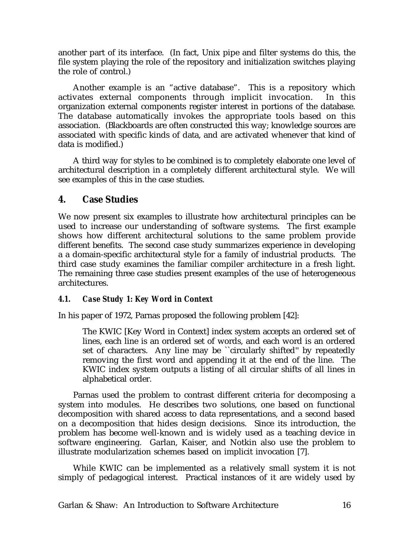another part of its interface. (In fact, Unix pipe and filter systems do this, the file system playing the role of the repository and initialization switches playing the role of control.)

Another example is an "active database". This is a repository which activates external components through implicit invocation. In this organization external components register interest in portions of the database. The database automatically invokes the appropriate tools based on this association. (Blackboards are often constructed this way; knowledge sources are associated with specific kinds of data, and are activated whenever that kind of data is modified.)

A third way for styles to be combined is to completely elaborate one level of architectural description in a completely different architectural style. We will see examples of this in the case studies.

# **4. Case Studies**

We now present six examples to illustrate how architectural principles can be used to increase our understanding of software systems. The first example shows how different architectural solutions to the same problem provide different benefits. The second case study summarizes experience in developing a a domain-specific architectural style for a family of industrial products. The third case study examines the familiar compiler architecture in a fresh light. The remaining three case studies present examples of the use of heterogeneous architectures.

# *4.1. Case Study 1: Key Word in Context*

In his paper of 1972, Parnas proposed the following problem [42]:

The KWIC [Key Word in Context] index system accepts an ordered set of lines, each line is an ordered set of words, and each word is an ordered set of characters. Any line may be ``circularly shifted'' by repeatedly removing the first word and appending it at the end of the line. The KWIC index system outputs a listing of all circular shifts of all lines in alphabetical order.

Parnas used the problem to contrast different criteria for decomposing a system into modules. He describes two solutions, one based on functional decomposition with shared access to data representations, and a second based on a decomposition that hides design decisions. Since its introduction, the problem has become well-known and is widely used as a teaching device in software engineering. Garlan, Kaiser, and Notkin also use the problem to illustrate modularization schemes based on implicit invocation [7].

While KWIC can be implemented as a relatively small system it is not simply of pedagogical interest. Practical instances of it are widely used by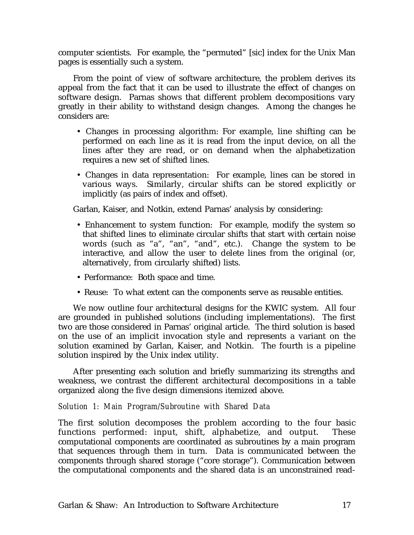computer scientists. For example, the "permuted" [sic] index for the Unix Man pages is essentially such a system.

From the point of view of software architecture, the problem derives its appeal from the fact that it can be used to illustrate the effect of changes on software design. Parnas shows that different problem decompositions vary greatly in their ability to withstand design changes. Among the changes he considers are:

- Changes in processing algorithm: For example, line shifting can be performed on each line as it is read from the input device, on all the lines after they are read, or on demand when the alphabetization requires a new set of shifted lines.
- Changes in data representation: For example, lines can be stored in various ways. Similarly, circular shifts can be stored explicitly or implicitly (as pairs of index and offset).

Garlan, Kaiser, and Notkin, extend Parnas' analysis by considering:

- Enhancement to system function: For example, modify the system so that shifted lines to eliminate circular shifts that start with certain noise words (such as "a", "an", "and", etc.). Change the system to be interactive, and allow the user to delete lines from the original (or, alternatively, from circularly shifted) lists.
- Performance: Both space and time.
- Reuse: To what extent can the components serve as reusable entities.

We now outline four architectural designs for the KWIC system. All four are grounded in published solutions (including implementations). The first two are those considered in Parnas' original article. The third solution is based on the use of an implicit invocation style and represents a variant on the solution examined by Garlan, Kaiser, and Notkin. The fourth is a pipeline solution inspired by the Unix index utility.

After presenting each solution and briefly summarizing its strengths and weakness, we contrast the different architectural decompositions in a table organized along the five design dimensions itemized above.

#### *Solution 1: Main Program/Subroutine with Shared Data*

The first solution decomposes the problem according to the four basic functions performed: input, shift, alphabetize, and output. These computational components are coordinated as subroutines by a main program that sequences through them in turn. Data is communicated between the components through shared storage ("core storage"). Communication between the computational components and the shared data is an unconstrained read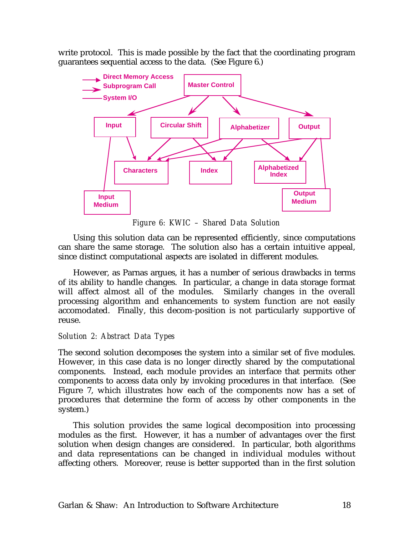write protocol. This is made possible by the fact that the coordinating program guarantees sequential access to the data. (See Figure 6.)



*Figure 6: KWIC – Shared Data Solution*

Using this solution data can be represented efficiently, since computations can share the same storage. The solution also has a certain intuitive appeal, since distinct computational aspects are isolated in different modules.

However, as Parnas argues, it has a number of serious drawbacks in terms of its ability to handle changes. In particular, a change in data storage format will affect almost all of the modules. Similarly changes in the overall processing algorithm and enhancements to system function are not easily accomodated. Finally, this decom-position is not particularly supportive of reuse.

#### *Solution 2: Abstract Data Types*

The second solution decomposes the system into a similar set of five modules. However, in this case data is no longer directly shared by the computational components. Instead, each module provides an interface that permits other components to access data only by invoking procedures in that interface. (See Figure 7, which illustrates how each of the components now has a set of procedures that determine the form of access by other components in the system.)

This solution provides the same logical decomposition into processing modules as the first. However, it has a number of advantages over the first solution when design changes are considered. In particular, both algorithms and data representations can be changed in individual modules without affecting others. Moreover, reuse is better supported than in the first solution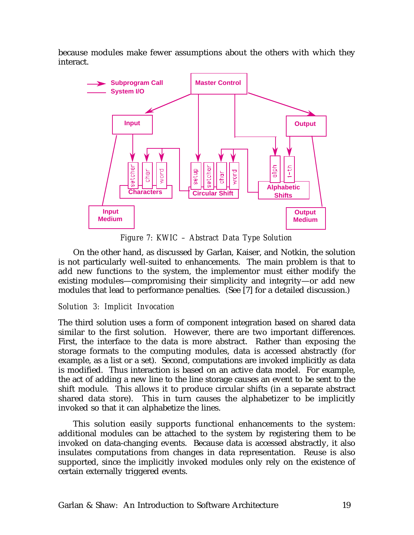because modules make fewer assumptions about the others with which they interact.



*Figure 7: KWIC – Abstract Data Type Solution*

On the other hand, as discussed by Garlan, Kaiser, and Notkin, the solution is not particularly well-suited to enhancements. The main problem is that to add new functions to the system, the implementor must either modify the existing modules—compromising their simplicity and integrity—or add new modules that lead to performance penalties. (See [7] for a detailed discussion.)

#### *Solution 3: Implicit Invocation*

The third solution uses a form of component integration based on shared data similar to the first solution. However, there are two important differences. First, the interface to the data is more abstract. Rather than exposing the storage formats to the computing modules, data is accessed abstractly (for example, as a list or a set). Second, computations are invoked implicitly as data is modified. Thus interaction is based on an active data model. For example, the act of adding a new line to the line storage causes an event to be sent to the shift module. This allows it to produce circular shifts (in a separate abstract shared data store). This in turn causes the alphabetizer to be implicitly invoked so that it can alphabetize the lines.

This solution easily supports functional enhancements to the system: additional modules can be attached to the system by registering them to be invoked on data-changing events. Because data is accessed abstractly, it also insulates computations from changes in data representation. Reuse is also supported, since the implicitly invoked modules only rely on the existence of certain externally triggered events.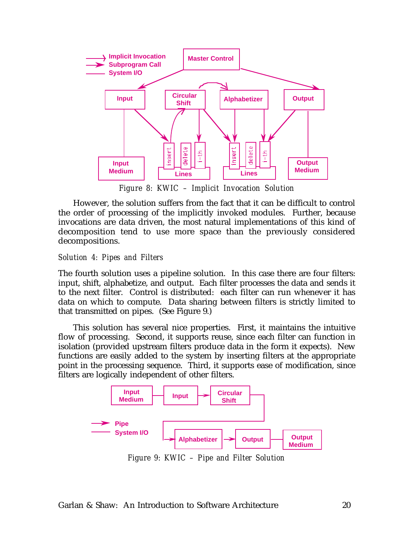

*Figure 8: KWIC – Implicit Invocation Solution*

However, the solution suffers from the fact that it can be difficult to control the order of processing of the implicitly invoked modules. Further, because invocations are data driven, the most natural implementations of this kind of decomposition tend to use more space than the previously considered decompositions.

#### *Solution 4: Pipes and Filters*

The fourth solution uses a pipeline solution. In this case there are four filters: input, shift, alphabetize, and output. Each filter processes the data and sends it to the next filter. Control is distributed: each filter can run whenever it has data on which to compute. Data sharing between filters is strictly limited to that transmitted on pipes. (See Figure 9.)

This solution has several nice properties. First, it maintains the intuitive flow of processing. Second, it supports reuse, since each filter can function in isolation (provided upstream filters produce data in the form it expects). New functions are easily added to the system by inserting filters at the appropriate point in the processing sequence. Third, it supports ease of modification, since filters are logically independent of other filters.



*Figure 9: KWIC – Pipe and Filter Solution*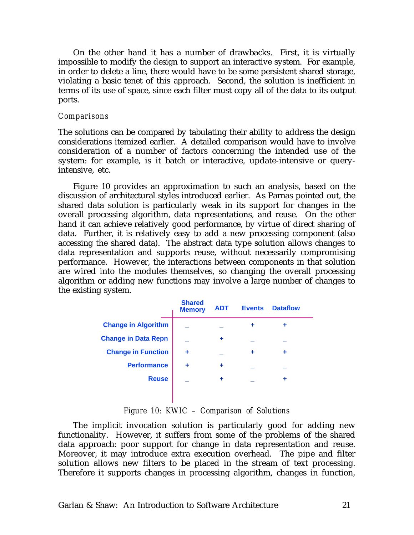On the other hand it has a number of drawbacks. First, it is virtually impossible to modify the design to support an interactive system. For example, in order to delete a line, there would have to be some persistent shared storage, violating a basic tenet of this approach. Second, the solution is inefficient in terms of its use of space, since each filter must copy all of the data to its output ports.

#### *Comparisons*

The solutions can be compared by tabulating their ability to address the design considerations itemized earlier. A detailed comparison would have to involve consideration of a number of factors concerning the intended use of the system: for example, is it batch or interactive, update-intensive or queryintensive, etc.

Figure 10 provides an approximation to such an analysis, based on the discussion of architectural styles introduced earlier. As Parnas pointed out, the shared data solution is particularly weak in its support for changes in the overall processing algorithm, data representations, and reuse. On the other hand it can achieve relatively good performance, by virtue of direct sharing of data. Further, it is relatively easy to add a new processing component (also accessing the shared data). The abstract data type solution allows changes to data representation and supports reuse, without necessarily compromising performance. However, the interactions between components in that solution are wired into the modules themselves, so changing the overall processing algorithm or adding new functions may involve a large number of changes to the existing system.

|                            | <b>Shared</b><br><b>Memory</b> | <b>ADT</b> | <b>Events</b> | <b>Dataflow</b> |  |
|----------------------------|--------------------------------|------------|---------------|-----------------|--|
| <b>Change in Algorithm</b> |                                |            | ٠             | ٠               |  |
| <b>Change in Data Repn</b> |                                | ٠          |               |                 |  |
| <b>Change in Function</b>  | ٠                              |            | ٠             | ٠               |  |
| <b>Performance</b>         |                                | ٠          |               |                 |  |
| <b>Reuse</b>               |                                | ٠          |               | ٠               |  |
|                            |                                |            |               |                 |  |

#### *Figure 10: KWIC – Comparison of Solutions*

The implicit invocation solution is particularly good for adding new functionality. However, it suffers from some of the problems of the shared data approach: poor support for change in data representation and reuse. Moreover, it may introduce extra execution overhead. The pipe and filter solution allows new filters to be placed in the stream of text processing. Therefore it supports changes in processing algorithm, changes in function,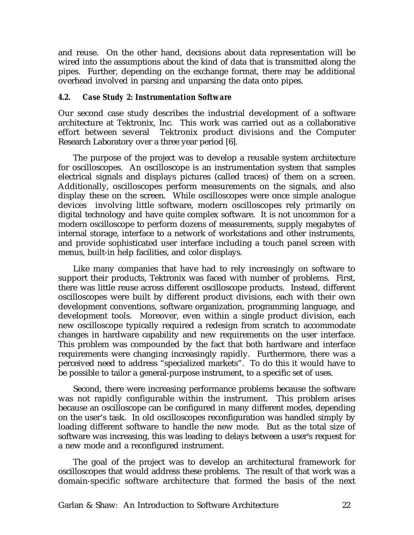and reuse. On the other hand, decisions about data representation will be wired into the assumptions about the kind of data that is transmitted along the pipes. Further, depending on the exchange format, there may be additional overhead involved in parsing and unparsing the data onto pipes.

#### *4.2. Case Study 2: Instrumentation Software*

Our second case study describes the industrial development of a software architecture at Tektronix, Inc. This work was carried out as a collaborative effort between several Tektronix product divisions and the Computer Research Laboratory over a three year period [6].

The purpose of the project was to develop a reusable system architecture for oscilloscopes. An oscilloscope is an instrumentation system that samples electrical signals and displays pictures (called traces) of them on a screen. Additionally, oscilloscopes perform measurements on the signals, and also display these on the screen. While oscilloscopes were once simple analogue devices involving little software, modern oscilloscopes rely primarily on digital technology and have quite complex software. It is not uncommon for a modern oscilloscope to perform dozens of measurements, supply megabytes of internal storage, interface to a network of workstations and other instruments, and provide sophisticated user interface including a touch panel screen with menus, built-in help facilities, and color displays.

Like many companies that have had to rely increasingly on software to support their products, Tektronix was faced with number of problems. First, there was little reuse across different oscilloscope products. Instead, different oscilloscopes were built by different product divisions, each with their own development conventions, software organization, programming language, and development tools. Moreover, even within a single product division, each new oscilloscope typically required a redesign from scratch to accommodate changes in hardware capability and new requirements on the user interface. This problem was compounded by the fact that both hardware and interface requirements were changing increasingly rapidly. Furthermore, there was a perceived need to address "specialized markets". To do this it would have to be possible to tailor a general-purpose instrument, to a specific set of uses.

Second, there were increasing performance problems because the software was not rapidly configurable within the instrument. This problem arises because an oscilloscope can be configured in many different modes, depending on the user's task. In old oscilloscopes reconfiguration was handled simply by loading different software to handle the new mode. But as the total size of software was increasing, this was leading to delays between a user's request for a new mode and a reconfigured instrument.

The goal of the project was to develop an architectural framework for oscilloscopes that would address these problems. The result of that work was a domain-specific software architecture that formed the basis of the next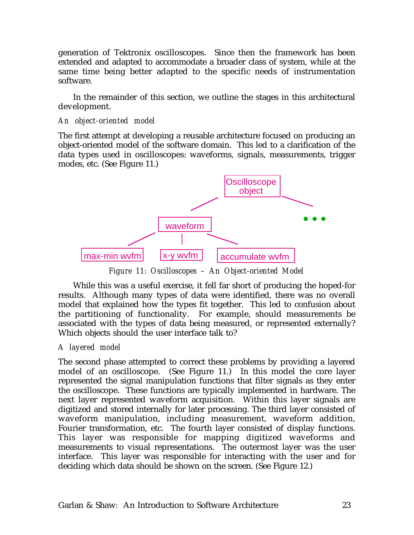generation of Tektronix oscilloscopes. Since then the framework has been extended and adapted to accommodate a broader class of system, while at the same time being better adapted to the specific needs of instrumentation software.

In the remainder of this section, we outline the stages in this architectural development.

#### *An object-oriented model*

The first attempt at developing a reusable architecture focused on producing an object-oriented model of the software domain. This led to a clarification of the data types used in oscilloscopes: waveforms, signals, measurements, trigger modes, etc. (See Figure 11.)



*Figure 11: Oscilloscopes – An Object-oriented Model*

While this was a useful exercise, it fell far short of producing the hoped-for results. Although many types of data were identified, there was no overall model that explained how the types fit together. This led to confusion about the partitioning of functionality. For example, should measurements be associated with the types of data being measured, or represented externally? Which objects should the user interface talk to?

#### *A layered model*

The second phase attempted to correct these problems by providing a layered model of an oscilloscope. (See Figure 11.) In this model the core layer represented the signal manipulation functions that filter signals as they enter the oscilloscope. These functions are typically implemented in hardware. The next layer represented waveform acquisition. Within this layer signals are digitized and stored internally for later processing. The third layer consisted of waveform manipulation, including measurement, waveform addition, Fourier transformation, etc. The fourth layer consisted of display functions. This layer was responsible for mapping digitized waveforms and measurements to visual representations. The outermost layer was the user interface. This layer was responsible for interacting with the user and for deciding which data should be shown on the screen. (See Figure 12.)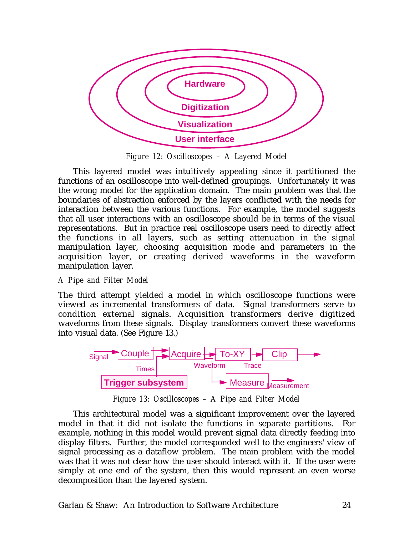

*Figure 12: Oscilloscopes – A Layered Model*

This layered model was intuitively appealing since it partitioned the functions of an oscilloscope into well-defined groupings. Unfortunately it was the wrong model for the application domain. The main problem was that the boundaries of abstraction enforced by the layers conflicted with the needs for interaction between the various functions. For example, the model suggests that all user interactions with an oscilloscope should be in terms of the visual representations. But in practice real oscilloscope users need to directly affect the functions in all layers, such as setting attenuation in the signal manipulation layer, choosing acquisition mode and parameters in the acquisition layer, or creating derived waveforms in the waveform manipulation layer.

#### *A Pipe and Filter Model*

The third attempt yielded a model in which oscilloscope functions were viewed as incremental transformers of data. Signal transformers serve to condition external signals. Acquisition transformers derive digitized waveforms from these signals. Display transformers convert these waveforms into visual data. (See Figure 13.)



*Figure 13: Oscilloscopes – A Pipe and Filter Model*

This architectural model was a significant improvement over the layered model in that it did not isolate the functions in separate partitions. For example, nothing in this model would prevent signal data directly feeding into display filters. Further, the model corresponded well to the engineers' view of signal processing as a dataflow problem. The main problem with the model was that it was not clear how the user should interact with it. If the user were simply at one end of the system, then this would represent an even worse decomposition than the layered system.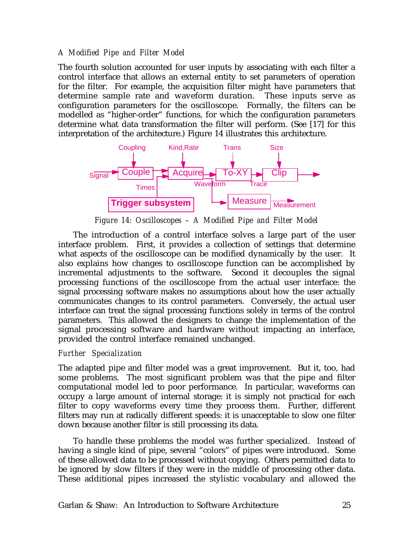#### *A Modified Pipe and Filter Model*

The fourth solution accounted for user inputs by associating with each filter a control interface that allows an external entity to set parameters of operation for the filter. For example, the acquisition filter might have parameters that determine sample rate and waveform duration. These inputs serve as configuration parameters for the oscilloscope. Formally, the filters can be modelled as "higher-order" functions, for which the configuration parameters determine what data transformation the filter will perform. (See [17] for this interpretation of the architecture.) Figure 14 illustrates this architecture.



*Figure 14: Oscilloscopes – A Modified Pipe and Filter Model*

The introduction of a control interface solves a large part of the user interface problem. First, it provides a collection of settings that determine what aspects of the oscilloscope can be modified dynamically by the user. It also explains how changes to oscilloscope function can be accomplished by incremental adjustments to the software. Second it decouples the signal processing functions of the oscilloscope from the actual user interface: the signal processing software makes no assumptions about how the user actually communicates changes to its control parameters. Conversely, the actual user interface can treat the signal processing functions solely in terms of the control parameters. This allowed the designers to change the implementation of the signal processing software and hardware without impacting an interface, provided the control interface remained unchanged.

#### *Further Specialization*

The adapted pipe and filter model was a great improvement. But it, too, had some problems. The most significant problem was that the pipe and filter computational model led to poor performance. In particular, waveforms can occupy a large amount of internal storage: it is simply not practical for each filter to copy waveforms every time they process them. Further, different filters may run at radically different speeds: it is unacceptable to slow one filter down because another filter is still processing its data.

To handle these problems the model was further specialized. Instead of having a single kind of pipe, several "colors" of pipes were introduced. Some of these allowed data to be processed without copying. Others permitted data to be ignored by slow filters if they were in the middle of processing other data. These additional pipes increased the stylistic vocabulary and allowed the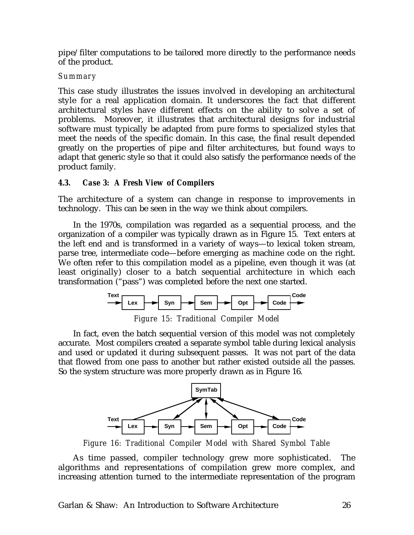pipe/filter computations to be tailored more directly to the performance needs of the product.

#### *Summary*

This case study illustrates the issues involved in developing an architectural style for a real application domain. It underscores the fact that different architectural styles have different effects on the ability to solve a set of problems. Moreover, it illustrates that architectural designs for industrial software must typically be adapted from pure forms to specialized styles that meet the needs of the specific domain. In this case, the final result depended greatly on the properties of pipe and filter architectures, but found ways to adapt that generic style so that it could also satisfy the performance needs of the product family.

# *4.3. Case 3: A Fresh View of Compilers*

The architecture of a system can change in response to improvements in technology. This can be seen in the way we think about compilers.

In the 1970s, compilation was regarded as a sequential process, and the organization of a compiler was typically drawn as in Figure 15. Text enters at the left end and is transformed in a variety of ways—to lexical token stream, parse tree, intermediate code—before emerging as machine code on the right. We often refer to this compilation model as a pipeline, even though it was (at least originally) closer to a batch sequential architecture in which each transformation ("pass") was completed before the next one started.



*Figure 15: Traditional Compiler Model*

In fact, even the batch sequential version of this model was not completely accurate. Most compilers created a separate symbol table during lexical analysis and used or updated it during subsequent passes. It was not part of the data that flowed from one pass to another but rather existed outside all the passes. So the system structure was more properly drawn as in Figure 16.



*Figure 16: Traditional Compiler Model with Shared Symbol Table*

As time passed, compiler technology grew more sophisticated. The algorithms and representations of compilation grew more complex, and increasing attention turned to the intermediate representation of the program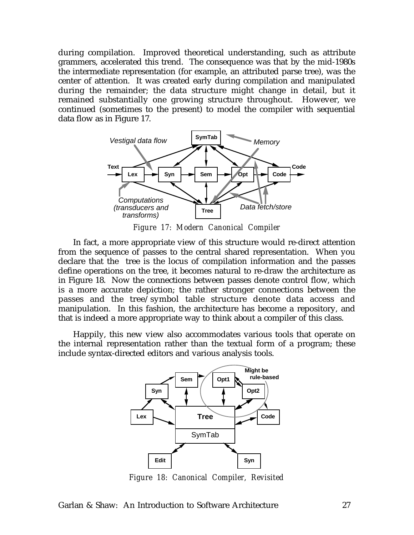during compilation. Improved theoretical understanding, such as attribute grammers, accelerated this trend. The consequence was that by the mid-1980s the intermediate representation (for example, an attributed parse tree), was the center of attention. It was created early during compilation and manipulated during the remainder; the data structure might change in detail, but it remained substantially one growing structure throughout. However, we continued (sometimes to the present) to model the compiler with sequential data flow as in Figure 17.



*Figure 17: Modern Canonical Compiler*

In fact, a more appropriate view of this structure would re-direct attention from the sequence of passes to the central shared representation. When you declare that the tree is the locus of compilation information and the passes define operations on the tree, it becomes natural to re-draw the architecture as in Figure 18. Now the connections between passes denote control flow, which is a more accurate depiction; the rather stronger connections between the passes and the tree/symbol table structure denote data access and manipulation. In this fashion, the architecture has become a repository, and that is indeed a more appropriate way to think about a compiler of this class.

Happily, this new view also accommodates various tools that operate on the internal representation rather than the textual form of a program; these include syntax-directed editors and various analysis tools.



*Figure 18: Canonical Compiler, Revisited*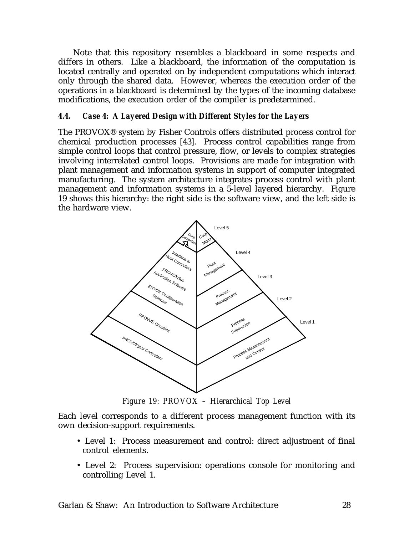Note that this repository resembles a blackboard in some respects and differs in others. Like a blackboard, the information of the computation is located centrally and operated on by independent computations which interact only through the shared data. However, whereas the execution order of the operations in a blackboard is determined by the types of the incoming database modifications, the execution order of the compiler is predetermined.

#### *4.4. Case 4: A Layered Design with Different Styles for the Layers*

The PROVOX® system by Fisher Controls offers distributed process control for chemical production processes [43]. Process control capabilities range from simple control loops that control pressure, flow, or levels to complex strategies involving interrelated control loops. Provisions are made for integration with plant management and information systems in support of computer integrated manufacturing. The system architecture integrates process control with plant management and information systems in a 5-level layered hierarchy. Figure 19 shows this hierarchy: the right side is the software view, and the left side is the hardware view.



*Figure 19: PROVOX – Hierarchical Top Level*

Each level corresponds to a different process management function with its own decision-support requirements.

- Level 1: Process measurement and control: direct adjustment of final control elements.
- Level 2: Process supervision: operations console for monitoring and controlling Level 1.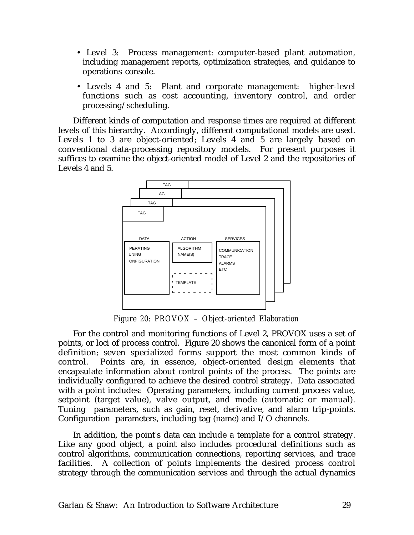- Level 3: Process management: computer-based plant automation, including management reports, optimization strategies, and guidance to operations console.
- Levels 4 and 5: Plant and corporate management: higher-level functions such as cost accounting, inventory control, and order processing/scheduling.

Different kinds of computation and response times are required at different levels of this hierarchy. Accordingly, different computational models are used. Levels 1 to 3 are object-oriented; Levels 4 and 5 are largely based on conventional data-processing repository models. For present purposes it suffices to examine the object-oriented model of Level 2 and the repositories of Levels 4 and 5.



*Figure 20: PROVOX – Object-oriented Elaboration*

For the control and monitoring functions of Level 2, PROVOX uses a set of points, or loci of process control. Figure 20 shows the canonical form of a point definition; seven specialized forms support the most common kinds of control. Points are, in essence, object-oriented design elements that encapsulate information about control points of the process. The points are individually configured to achieve the desired control strategy. Data associated with a point includes: Operating parameters, including current process value, setpoint (target value), valve output, and mode (automatic or manual). Tuning parameters, such as gain, reset, derivative, and alarm trip-points. Configuration parameters, including tag (name) and I/O channels.

In addition, the point's data can include a template for a control strategy. Like any good object, a point also includes procedural definitions such as control algorithms, communication connections, reporting services, and trace facilities. A collection of points implements the desired process control strategy through the communication services and through the actual dynamics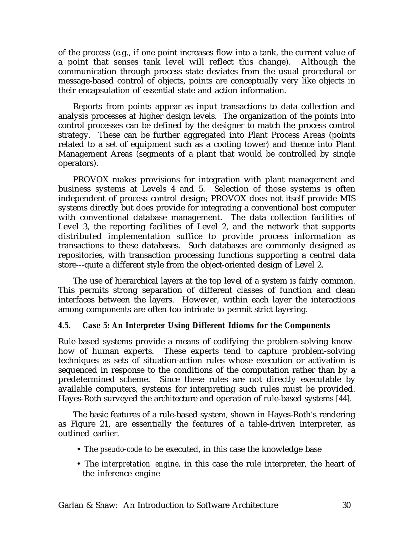of the process (e.g., if one point increases flow into a tank, the current value of a point that senses tank level will reflect this change). Although the communication through process state deviates from the usual procedural or message-based control of objects, points are conceptually very like objects in their encapsulation of essential state and action information.

Reports from points appear as input transactions to data collection and analysis processes at higher design levels. The organization of the points into control processes can be defined by the designer to match the process control strategy. These can be further aggregated into Plant Process Areas (points related to a set of equipment such as a cooling tower) and thence into Plant Management Areas (segments of a plant that would be controlled by single operators).

PROVOX makes provisions for integration with plant management and business systems at Levels 4 and 5. Selection of those systems is often independent of process control design; PROVOX does not itself provide MIS systems directly but does provide for integrating a conventional host computer with conventional database management. The data collection facilities of Level 3, the reporting facilities of Level 2, and the network that supports distributed implementation suffice to provide process information as transactions to these databases. Such databases are commonly designed as repositories, with transaction processing functions supporting a central data store---quite a different style from the object-oriented design of Level 2.

The use of hierarchical layers at the top level of a system is fairly common. This permits strong separation of different classes of function and clean interfaces between the layers. However, within each layer the interactions among components are often too intricate to permit strict layering.

#### *4.5. Case 5: An Interpreter Using Different Idioms for the Components*

Rule-based systems provide a means of codifying the problem-solving knowhow of human experts. These experts tend to capture problem-solving techniques as sets of situation-action rules whose execution or activation is sequenced in response to the conditions of the computation rather than by a predetermined scheme. Since these rules are not directly executable by available computers, systems for interpreting such rules must be provided. Hayes-Roth surveyed the architecture and operation of rule-based systems [44].

The basic features of a rule-based system, shown in Hayes-Roth's rendering as Figure 21, are essentially the features of a table-driven interpreter, as outlined earlier.

- The *pseudo-code* to be executed, in this case the knowledge base
- The *interpretation engine,* in this case the rule interpreter, the heart of the inference engine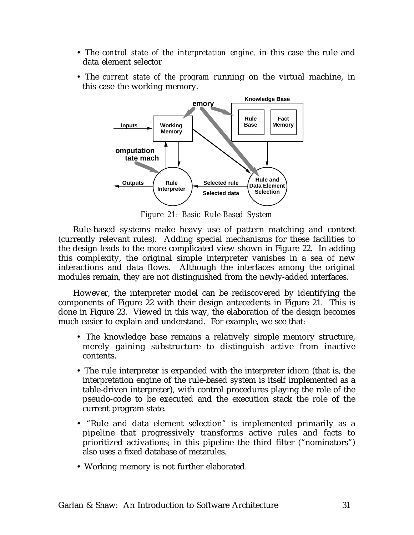- The *control state of the interpretation engine,* in this case the rule and data element selector
- The *current state of the program* running on the virtual machine, in this case the working memory.



*Figure 21: Basic Rule-Based System*

Rule-based systems make heavy use of pattern matching and context (currently relevant rules). Adding special mechanisms for these facilities to the design leads to the more complicated view shown in Figure 22. In adding this complexity, the original simple interpreter vanishes in a sea of new interactions and data flows. Although the interfaces among the original modules remain, they are not distinguished from the newly-added interfaces.

However, the interpreter model can be rediscovered by identifying the components of Figure 22 with their design antecedents in Figure 21. This is done in Figure 23. Viewed in this way, the elaboration of the design becomes much easier to explain and understand. For example, we see that:

- The knowledge base remains a relatively simple memory structure, merely gaining substructure to distinguish active from inactive contents.
- The rule interpreter is expanded with the interpreter idiom (that is, the interpretation engine of the rule-based system is itself implemented as a table-driven interpreter), with control procedures playing the role of the pseudo-code to be executed and the execution stack the role of the current program state.
- "Rule and data element selection" is implemented primarily as a pipeline that progressively transforms active rules and facts to prioritized activations; in this pipeline the third filter ("nominators") also uses a fixed database of metarules.
- Working memory is not further elaborated.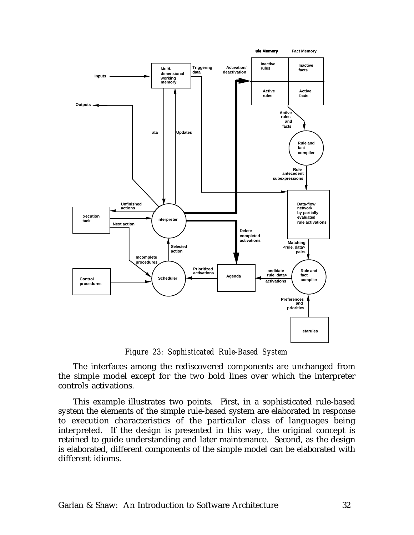

*Figure 23: Sophisticated Rule-Based System*

The interfaces among the rediscovered components are unchanged from the simple model except for the two bold lines over which the interpreter controls activations.

This example illustrates two points. First, in a sophisticated rule-based system the elements of the simple rule-based system are elaborated in response to execution characteristics of the particular class of languages being interpreted. If the design is presented in this way, the original concept is retained to guide understanding and later maintenance. Second, as the design is elaborated, different components of the simple model can be elaborated with different idioms.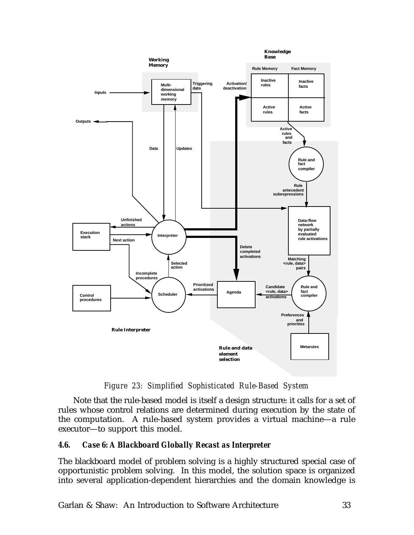

*Figure 23: Simplified Sophisticated Rule-Based System*

Note that the rule-based model is itself a design structure: it calls for a set of rules whose control relations are determined during execution by the state of the computation. A rule-based system provides a virtual machine—a rule executor—to support this model.

#### *4.6. Case 6: A Blackboard Globally Recast as Interpreter*

The blackboard model of problem solving is a highly structured special case of opportunistic problem solving. In this model, the solution space is organized into several application-dependent hierarchies and the domain knowledge is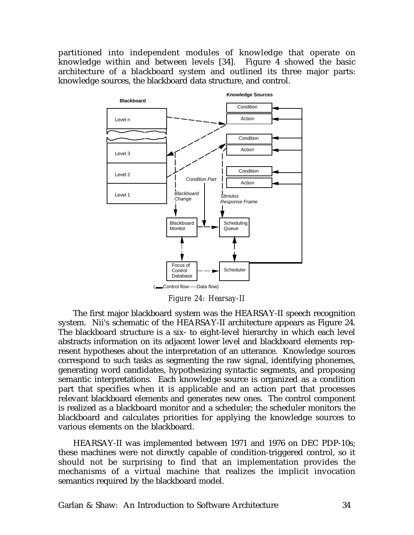partitioned into independent modules of knowledge that operate on knowledge within and between levels  $[34]$ . Figure  $\overline{4}$  showed the basic architecture of a blackboard system and outlined its three major parts: knowledge sources, the blackboard data structure, and control.



*Figure 24: Hearsay-II*

The first major blackboard system was the HEARSAY-II speech recognition system. Nii's schematic of the HEARSAY-II architecture appears as Figure 24. The blackboard structure is a six- to eight-level hierarchy in which each level abstracts information on its adjacent lower level and blackboard elements represent hypotheses about the interpretation of an utterance. Knowledge sources correspond to such tasks as segmenting the raw signal, identifying phonemes, generating word candidates, hypothesizing syntactic segments, and proposing semantic interpretations. Each knowledge source is organized as a condition part that specifies when it is applicable and an action part that processes relevant blackboard elements and generates new ones. The control component is realized as a blackboard monitor and a scheduler; the scheduler monitors the blackboard and calculates priorities for applying the knowledge sources to various elements on the blackboard.

HEARSAY-II was implemented between 1971 and 1976 on DEC PDP-10s; these machines were not directly capable of condition-triggered control, so it should not be surprising to find that an implementation provides the mechanisms of a virtual machine that realizes the implicit invocation semantics required by the blackboard model.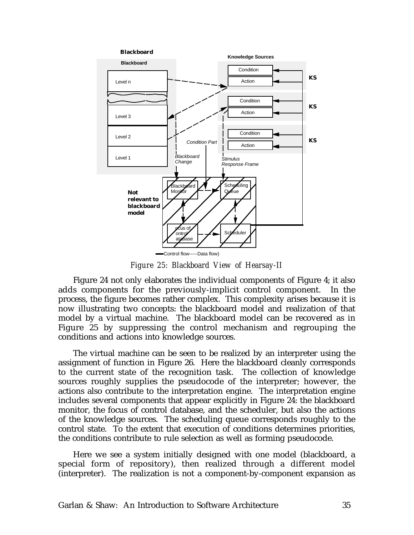

*Figure 25: Blackboard View of Hearsay-II*

Figure 24 not only elaborates the individual components of Figure 4; it also adds components for the previously-implicit control component. In the process, the figure becomes rather complex. This complexity arises because it is now illustrating two concepts: the blackboard model and realization of that model by a virtual machine. The blackboard model can be recovered as in Figure 25 by suppressing the control mechanism and regrouping the conditions and actions into knowledge sources.

The virtual machine can be seen to be realized by an interpreter using the assignment of function in Figure 26. Here the blackboard cleanly corresponds to the current state of the recognition task. The collection of knowledge sources roughly supplies the pseudocode of the interpreter; however, the actions also contribute to the interpretation engine. The interpretation engine includes several components that appear explicitly in Figure 24: the blackboard monitor, the focus of control database, and the scheduler, but also the actions of the knowledge sources. The scheduling queue corresponds roughly to the control state. To the extent that execution of conditions determines priorities, the conditions contribute to rule selection as well as forming pseudocode.

Here we see a system initially designed with one model (blackboard, a special form of repository), then realized through a different model (interpreter). The realization is not a component-by-component expansion as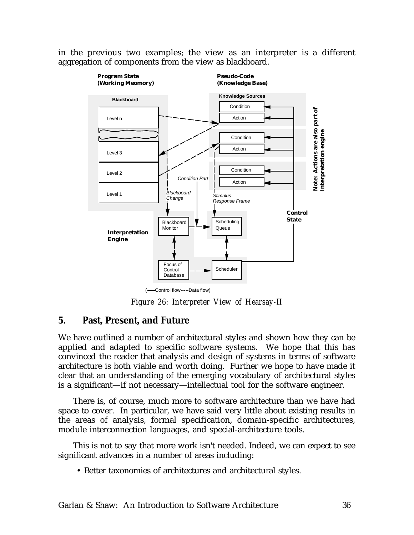in the previous two examples; the view as an interpreter is a different aggregation of components from the view as blackboard.



*Figure 26: Interpreter View of Hearsay-II*

# **5. Past, Present, and Future**

We have outlined a number of architectural styles and shown how they can be applied and adapted to specific software systems. We hope that this has convinced the reader that analysis and design of systems in terms of software architecture is both viable and worth doing. Further we hope to have made it clear that an understanding of the emerging vocabulary of architectural styles is a significant—if not necessary—intellectual tool for the software engineer.

There is, of course, much more to software architecture than we have had space to cover. In particular, we have said very little about existing results in the areas of analysis, formal specification, domain-specific architectures, module interconnection languages, and special-architecture tools.

This is not to say that more work isn't needed. Indeed, we can expect to see significant advances in a number of areas including:

• Better taxonomies of architectures and architectural styles.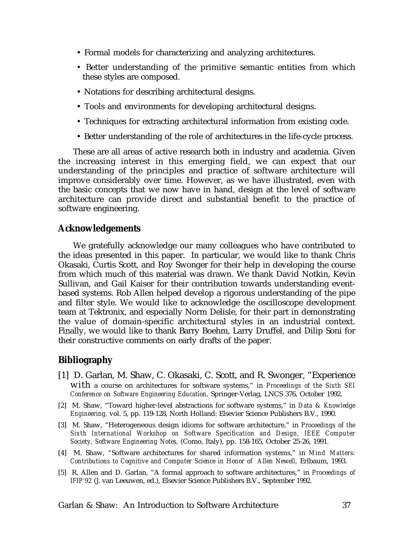- Formal models for characterizing and analyzing architectures.
- Better understanding of the primitive semantic entities from which these styles are composed.
- Notations for describing architectural designs.
- Tools and environments for developing architectural designs.
- Techniques for extracting architectural information from existing code.
- Better understanding of the role of architectures in the life-cycle process.

These are all areas of active research both in industry and academia. Given the increasing interest in this emerging field, we can expect that our understanding of the principles and practice of software architecture will improve considerably over time. However, as we have illustrated, even with the basic concepts that we now have in hand, design at the level of software architecture can provide direct and substantial benefit to the practice of software engineering.

#### **Acknowledgements**

We gratefully acknowledge our many colleagues who have contributed to the ideas presented in this paper. In particular, we would like to thank Chris Okasaki, Curtis Scott, and Roy Swonger for their help in developing the course from which much of this material was drawn. We thank David Notkin, Kevin Sullivan, and Gail Kaiser for their contribution towards understanding eventbased systems. Rob Allen helped develop a rigorous understanding of the pipe and filter style. We would like to acknowledge the oscilloscope development team at Tektronix, and especially Norm Delisle, for their part in demonstrating the value of domain-specific architectural styles in an industrial context. Finally, we would like to thank Barry Boehm, Larry Druffel, and Dilip Soni for their constructive comments on early drafts of the paper.

# **Bibliography**

- [1] D. Garlan, M. Shaw, C. Okasaki, C. Scott, and R. Swonger, "Experience with a course on architectures for software systems," in *Proceedings of the Sixth SEI Conference on Software Engineering Education,* Springer-Verlag, LNCS 376, October 1992.
- [2] M. Shaw, "Toward higher-level abstractions for software systems," in *Data & Knowledge Engineering,* vol. 5, pp. 119-128, North Holland: Elsevier Science Publishers B.V., 1990.
- [3] M. Shaw, "Heterogeneous design idioms for software architecture," in *Proceedings of the Sixth International Workshop on Software Specification and Design, IEEE Computer Society, Software Engineering Notes,* (Como, Italy), pp. 158-165, October 25-26, 1991.
- [4] M. Shaw, "Software architectures for shared information systems," in *Mind Matters: Contributions to Cognitive and Computer Science in Honor of Allen Newell,* Erlbaum, 1993.
- [5] R. Allen and D. Garlan, "A formal approach to software architectures," in *Proceedings of IFIP'92* (J. van Leeuwen, ed.), Elsevier Science Publishers B.V., September 1992.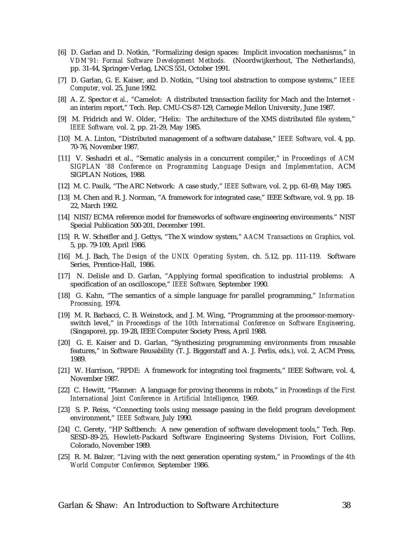- [6] D. Garlan and D. Notkin, "Formalizing design spaces: Implicit invocation mechanisms," in *VDM'91: Formal Software Development Methods.* (Noordwijkerhout, The Netherlands), pp. 31-44, Springer-Verlag, LNCS 551, October 1991.
- [7] D. Garlan, G. E. Kaiser, and D. Notkin, "Using tool abstraction to compose systems," *IEEE Computer,* vol. 25, June 1992.
- [8] A. Z. Spector *et al.,* "Camelot: A distributed transaction facility for Mach and the Internet an interim report," Tech. Rep. CMU-CS-87-129, Carnegie Mellon University, June 1987.
- [9] M. Fridrich and W. Older, "Helix: The architecture of the XMS distributed file system," *IEEE Software,* vol. 2, pp. 21-29, May 1985.
- [10] M. A. Linton, "Distributed management of a software database," *IEEE Software,* vol. 4, pp. 70-76, November 1987.
- [11] V. Seshadri et al., "Sematic analysis in a concurrent compiler," in *Proceedings of ACM SIGPLAN '88 Conference on Programming Language Design and Implementation,* ACM SIGPLAN Notices, 1988.
- [12] M. C. Paulk, "The ARC Network: A case study," *IEEE Software,* vol. 2, pp. 61-69, May 1985.
- [13] M. Chen and R. J. Norman, "A framework for integrated case," IEEE Software, vol. 9, pp. 18- 22, March 1992.
- [14] NIST/ECMA reference model for frameworks of software engineering environments." NIST Special Publication 500-201, December 1991.
- [15] R. W. Scheifler and J. Gettys, "The X window system," *AACM Transactions on Graphics,* vol. 5, pp. 79-109, April 1986.
- [16] M. J. Bach, *The Design of the UNIX Operating System,* ch. 5.12, pp. 111-119. Software Series, Prentice-Hall, 1986.
- [17] N. Delisle and D. Garlan, "Applying formal specification to industrial problems: A specification of an oscilloscope," *IEEE Software,* September 1990.
- [18] G. Kahn, "The semantics of a simple language for parallel programming," *Information Processing,* 1974.
- [19] M. R. Barbacci, C. B. Weinstock, and J. M. Wing, "Programming at the processor-memoryswitch level," in *Proceedings of the 10th International Conference on Software Engineering,* (Singapore), pp. 19-28, IEEE Computer Society Press, April 1988.
- [20] G. E. Kaiser and D. Garlan, "Synthesizing programming environments from reusable features," in Software Reusability (T. J. Biggerstaff and A. J. Perlis, eds.), vol. 2, ACM Press, 1989.
- [21] W. Harrison, "RPDE: A framework for integrating tool fragments," IEEE Software, vol. 4, November 1987.
- [22] C. Hewitt, "Planner: A language for proving theorems in robots," in *Proceedings of the First International Joint Conference in Artificial Intelligence,* 1969.
- [23] S. P. Reiss, "Connecting tools using message passing in the field program development environment," *IEEE Software,* July 1990.
- [24] C. Gerety, "HP Softbench: A new generation of software development tools," Tech. Rep. SESD-89-25, Hewlett-Packard Software Engineering Systems Division, Fort Collins, Colorado, November 1989.
- [25] R. M. Balzer, "Living with the next generation operating system," in *Proceedings of the 4th World Computer Conference,* September 1986.